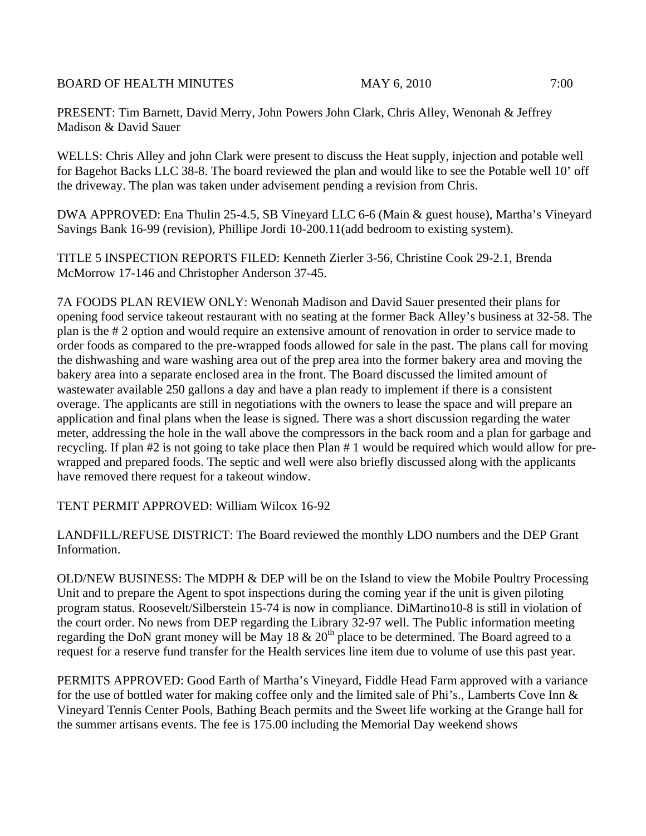BOARD OF HEALTH MINUTES MAY 6, 2010 7:00

PRESENT: Tim Barnett, David Merry, John Powers John Clark, Chris Alley, Wenonah & Jeffrey Madison & David Sauer

WELLS: Chris Alley and john Clark were present to discuss the Heat supply, injection and potable well for Bagehot Backs LLC 38-8. The board reviewed the plan and would like to see the Potable well 10' off the driveway. The plan was taken under advisement pending a revision from Chris.

DWA APPROVED: Ena Thulin 25-4.5, SB Vineyard LLC 6-6 (Main & guest house), Martha's Vineyard Savings Bank 16-99 (revision), Phillipe Jordi 10-200.11(add bedroom to existing system).

TITLE 5 INSPECTION REPORTS FILED: Kenneth Zierler 3-56, Christine Cook 29-2.1, Brenda McMorrow 17-146 and Christopher Anderson 37-45.

7A FOODS PLAN REVIEW ONLY: Wenonah Madison and David Sauer presented their plans for opening food service takeout restaurant with no seating at the former Back Alley's business at 32-58. The plan is the # 2 option and would require an extensive amount of renovation in order to service made to order foods as compared to the pre-wrapped foods allowed for sale in the past. The plans call for moving the dishwashing and ware washing area out of the prep area into the former bakery area and moving the bakery area into a separate enclosed area in the front. The Board discussed the limited amount of wastewater available 250 gallons a day and have a plan ready to implement if there is a consistent overage. The applicants are still in negotiations with the owners to lease the space and will prepare an application and final plans when the lease is signed. There was a short discussion regarding the water meter, addressing the hole in the wall above the compressors in the back room and a plan for garbage and recycling. If plan #2 is not going to take place then Plan # 1 would be required which would allow for prewrapped and prepared foods. The septic and well were also briefly discussed along with the applicants have removed there request for a takeout window.

TENT PERMIT APPROVED: William Wilcox 16-92

LANDFILL/REFUSE DISTRICT: The Board reviewed the monthly LDO numbers and the DEP Grant Information.

OLD/NEW BUSINESS: The MDPH & DEP will be on the Island to view the Mobile Poultry Processing Unit and to prepare the Agent to spot inspections during the coming year if the unit is given piloting program status. Roosevelt/Silberstein 15-74 is now in compliance. DiMartino10-8 is still in violation of the court order. No news from DEP regarding the Library 32-97 well. The Public information meeting regarding the DoN grant money will be May 18 & 20<sup>th</sup> place to be determined. The Board agreed to a request for a reserve fund transfer for the Health services line item due to volume of use this past year.

PERMITS APPROVED: Good Earth of Martha's Vineyard, Fiddle Head Farm approved with a variance for the use of bottled water for making coffee only and the limited sale of Phi's., Lamberts Cove Inn & Vineyard Tennis Center Pools, Bathing Beach permits and the Sweet life working at the Grange hall for the summer artisans events. The fee is 175.00 including the Memorial Day weekend shows